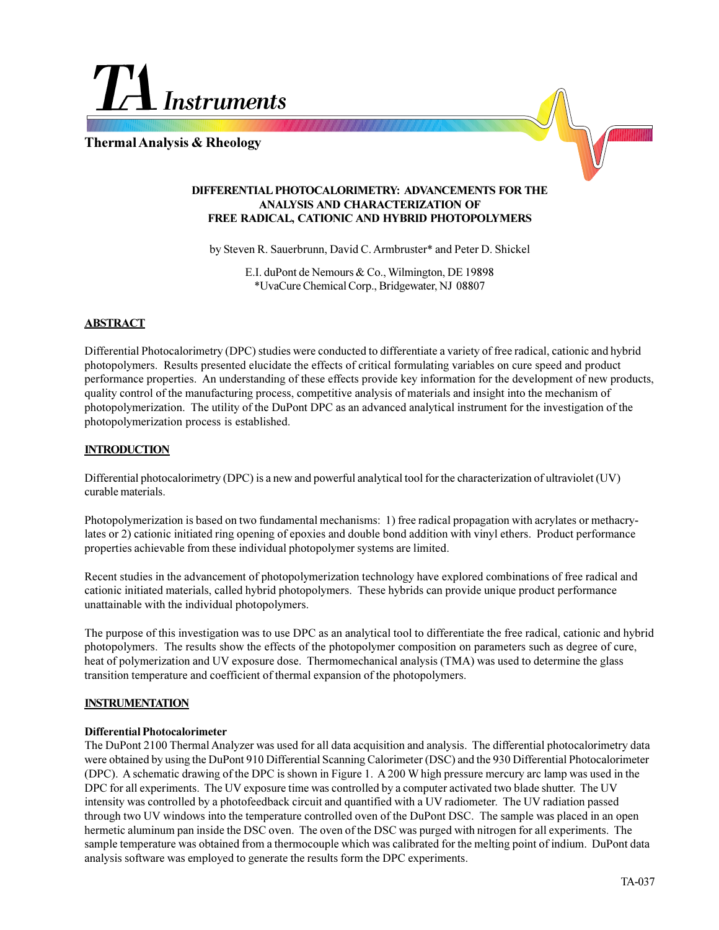**Thermal Analysis & Rheology**

*Instruments* 



## **DIFFERENTIAL PHOTOCALORIMETRY: ADVANCEMENTS FOR THE ANALYSIS AND CHARACTERIZATION OF FREE RADICAL, CATIONIC AND HYBRID PHOTOPOLYMERS**

by Steven R. Sauerbrunn, David C. Armbruster\* and Peter D. Shickel

E.I. duPont de Nemours & Co., Wilmington, DE 19898 \*UvaCure Chemical Corp., Bridgewater, NJ 08807

## **ABSTRACT**

Differential Photocalorimetry (DPC) studies were conducted to differentiate a variety of free radical, cationic and hybrid photopolymers. Results presented elucidate the effects of critical formulating variables on cure speed and product performance properties. An understanding of these effects provide key information for the development of new products, quality control of the manufacturing process, competitive analysis of materials and insight into the mechanism of photopolymerization. The utility of the DuPont DPC as an advanced analytical instrument for the investigation of the photopolymerization process is established.

## **INTRODUCTION**

Differential photocalorimetry (DPC) is a new and powerful analytical tool for the characterization of ultraviolet (UV) curable materials.

Photopolymerization is based on two fundamental mechanisms: 1) free radical propagation with acrylates or methacrylates or 2) cationic initiated ring opening of epoxies and double bond addition with vinyl ethers. Product performance properties achievable from these individual photopolymer systems are limited.

Recent studies in the advancement of photopolymerization technology have explored combinations of free radical and cationic initiated materials, called hybrid photopolymers. These hybrids can provide unique product performance unattainable with the individual photopolymers.

The purpose of this investigation was to use DPC as an analytical tool to differentiate the free radical, cationic and hybrid photopolymers. The results show the effects of the photopolymer composition on parameters such as degree of cure, heat of polymerization and UV exposure dose. Thermomechanical analysis (TMA) was used to determine the glass transition temperature and coefficient of thermal expansion of the photopolymers.

## **INSTRUMENTATION**

## **Differential Photocalorimeter**

The DuPont 2100 Thermal Analyzer was used for all data acquisition and analysis. The differential photocalorimetry data were obtained by using the DuPont 910 Differential Scanning Calorimeter (DSC) and the 930 Differential Photocalorimeter (DPC). A schematic drawing of the DPC is shown in Figure 1. A 200 W high pressure mercury arc lamp was used in the DPC for all experiments. The UV exposure time was controlled by a computer activated two blade shutter. The UV intensity was controlled by a photofeedback circuit and quantified with a UV radiometer. The UV radiation passed through two UV windows into the temperature controlled oven of the DuPont DSC. The sample was placed in an open hermetic aluminum pan inside the DSC oven. The oven of the DSC was purged with nitrogen for all experiments. The sample temperature was obtained from a thermocouple which was calibrated for the melting point of indium. DuPont data analysis software was employed to generate the results form the DPC experiments.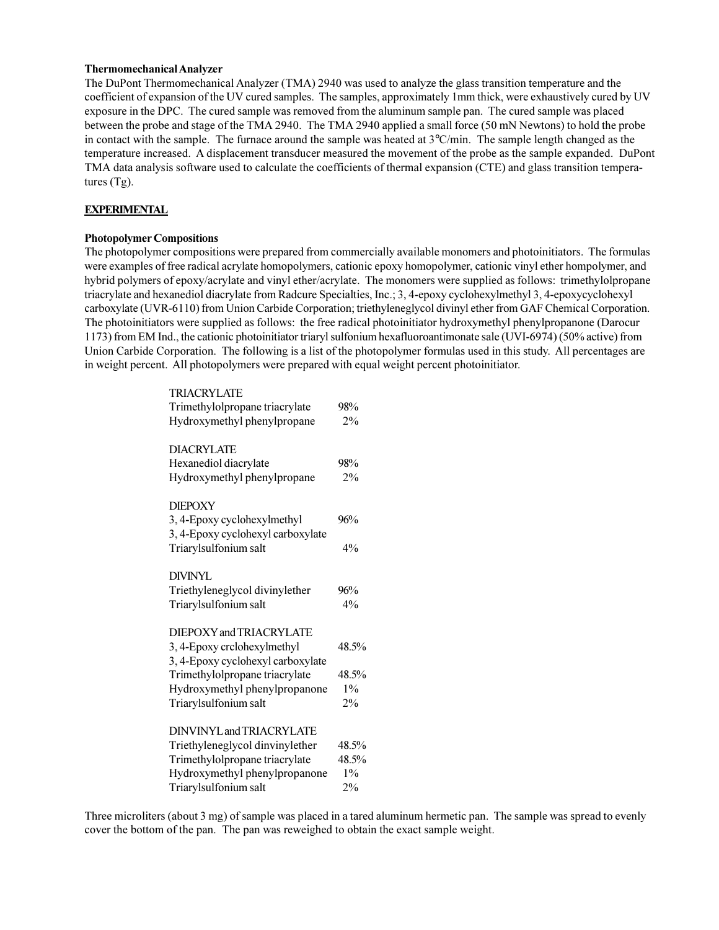#### **Thermomechanical Analyzer**

The DuPont Thermomechanical Analyzer (TMA) 2940 was used to analyze the glass transition temperature and the coefficient of expansion of the UV cured samples. The samples, approximately 1mm thick, were exhaustively cured by UV exposure in the DPC. The cured sample was removed from the aluminum sample pan. The cured sample was placed between the probe and stage of the TMA 2940. The TMA 2940 applied a small force (50 mN Newtons) to hold the probe in contact with the sample. The furnace around the sample was heated at  $3^{\circ}$ C/min. The sample length changed as the temperature increased. A displacement transducer measured the movement of the probe as the sample expanded. DuPont TMA data analysis software used to calculate the coefficients of thermal expansion (CTE) and glass transition temperatures (Tg).

## **EXPERIMENTAL**

## **Photopolymer Compositions**

The photopolymer compositions were prepared from commercially available monomers and photoinitiators. The formulas were examples of free radical acrylate homopolymers, cationic epoxy homopolymer, cationic vinyl ether hompolymer, and hybrid polymers of epoxy/acrylate and vinyl ether/acrylate. The monomers were supplied as follows: trimethylolpropane triacrylate and hexanediol diacrylate from Radcure Specialties, Inc.; 3, 4-epoxy cyclohexylmethyl 3, 4-epoxycyclohexyl carboxylate (UVR-6110) from Union Carbide Corporation; triethyleneglycol divinyl ether from GAF Chemical Corporation. The photoinitiators were supplied as follows: the free radical photoinitiator hydroxymethyl phenylpropanone (Darocur 1173) from EM Ind., the cationic photoinitiator triaryl sulfonium hexafluoroantimonate sale (UVI-6974) (50% active) from Union Carbide Corporation. The following is a list of the photopolymer formulas used in this study. All percentages are in weight percent. All photopolymers were prepared with equal weight percent photoinitiator.

| <b>TRIACRYLATE</b>                |       |
|-----------------------------------|-------|
| Trimethylolpropane triacrylate    | 98%   |
| Hydroxymethyl phenylpropane       | 2%    |
|                                   |       |
| <b>DIACRYLATE</b>                 |       |
| Hexanediol diacrylate             | 98%   |
| Hydroxymethyl phenylpropane       | 2%    |
|                                   |       |
| <b>DIEPOXY</b>                    |       |
| 3, 4-Epoxy cyclohexylmethyl       | 96%   |
| 3, 4-Epoxy cyclohexyl carboxylate |       |
| Triarylsulfonium salt             | $4\%$ |
|                                   |       |
| <b>DIVINYL</b>                    |       |
| Triethyleneglycol divinylether    | 96%   |
| Triarylsulfonium salt             | 4%    |
| DIEPOXY and TRIACRYLATE           |       |
|                                   |       |
| 3, 4-Epoxy crclohexylmethyl       | 48.5% |
| 3, 4-Epoxy cyclohexyl carboxylate |       |
| Trimethylolpropane triacrylate    | 48.5% |
| Hydroxymethyl phenylpropanone     | $1\%$ |
| Triarylsulfonium salt             | 2%    |
| DINVINYL and TRIACRYLATE          |       |
| Triethyleneglycol dinvinylether   | 48.5% |
| Trimethylolpropane triacrylate    | 48.5% |
| Hydroxymethyl phenylpropanone     | $1\%$ |
| Triarylsulfonium salt             | 2%    |
|                                   |       |

Three microliters (about 3 mg) of sample was placed in a tared aluminum hermetic pan. The sample was spread to evenly cover the bottom of the pan. The pan was reweighed to obtain the exact sample weight.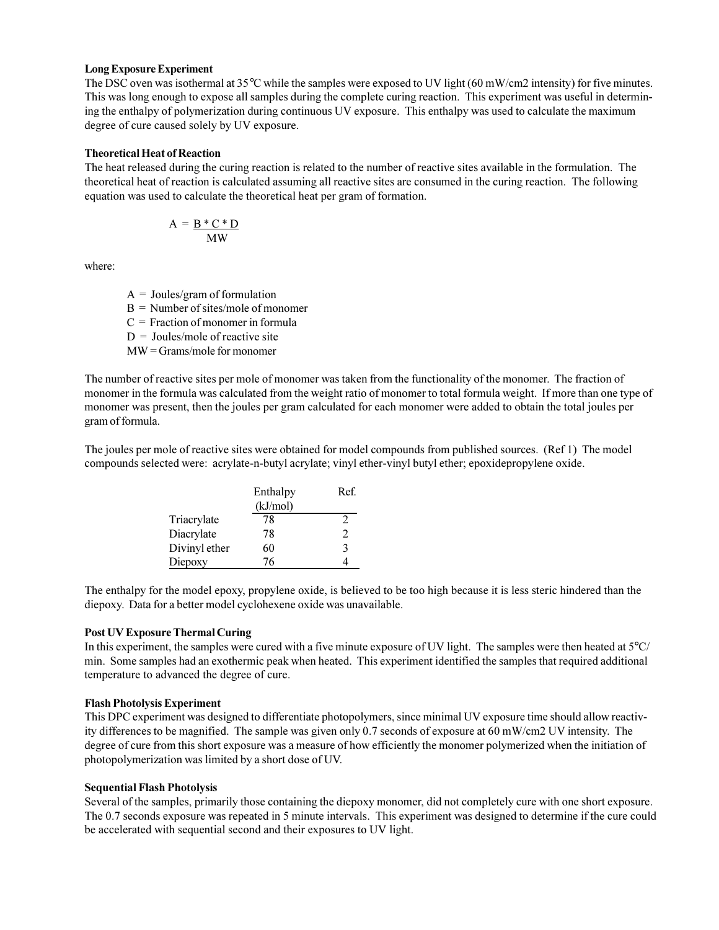#### **Long Exposure Experiment**

The DSC oven was isothermal at 35°C while the samples were exposed to UV light (60 mW/cm2 intensity) for five minutes. This was long enough to expose all samples during the complete curing reaction. This experiment was useful in determining the enthalpy of polymerization during continuous UV exposure. This enthalpy was used to calculate the maximum degree of cure caused solely by UV exposure.

## **Theoretical Heat of Reaction**

The heat released during the curing reaction is related to the number of reactive sites available in the formulation. The theoretical heat of reaction is calculated assuming all reactive sites are consumed in the curing reaction. The following equation was used to calculate the theoretical heat per gram of formation.

$$
A = \frac{B*C*D}{MW}
$$

where:

 $A = Joules/gram of formulation$ 

 $B =$  Number of sites/mole of monomer

 $C =$  Fraction of monomer in formula

 $D =$  Joules/mole of reactive site

MW = Grams/mole for monomer

The number of reactive sites per mole of monomer was taken from the functionality of the monomer. The fraction of monomer in the formula was calculated from the weight ratio of monomer to total formula weight. If more than one type of monomer was present, then the joules per gram calculated for each monomer were added to obtain the total joules per gram of formula.

The joules per mole of reactive sites were obtained for model compounds from published sources. (Ref 1) The model compounds selected were: acrylate-n-butyl acrylate; vinyl ether-vinyl butyl ether; epoxidepropylene oxide.

|               | Enthalpy | Ref.          |
|---------------|----------|---------------|
|               | (kJ/mol) |               |
| Triacrylate   | 78       |               |
| Diacrylate    | 78       | $\mathcal{D}$ |
| Divinyl ether | 60       | 3             |
| Diepoxy       | 76       |               |

The enthalpy for the model epoxy, propylene oxide, is believed to be too high because it is less steric hindered than the diepoxy. Data for a better model cyclohexene oxide was unavailable.

## **Post UV Exposure Thermal Curing**

In this experiment, the samples were cured with a five minute exposure of UV light. The samples were then heated at  $5^{\circ}$ C/ min. Some samples had an exothermic peak when heated. This experiment identified the samples that required additional temperature to advanced the degree of cure.

## **Flash Photolysis Experiment**

This DPC experiment was designed to differentiate photopolymers, since minimal UV exposure time should allow reactivity differences to be magnified. The sample was given only 0.7 seconds of exposure at 60 mW/cm2 UV intensity. The degree of cure from this short exposure was a measure of how efficiently the monomer polymerized when the initiation of photopolymerization was limited by a short dose of UV.

## **Sequential Flash Photolysis**

Several of the samples, primarily those containing the diepoxy monomer, did not completely cure with one short exposure. The 0.7 seconds exposure was repeated in 5 minute intervals. This experiment was designed to determine if the cure could be accelerated with sequential second and their exposures to UV light.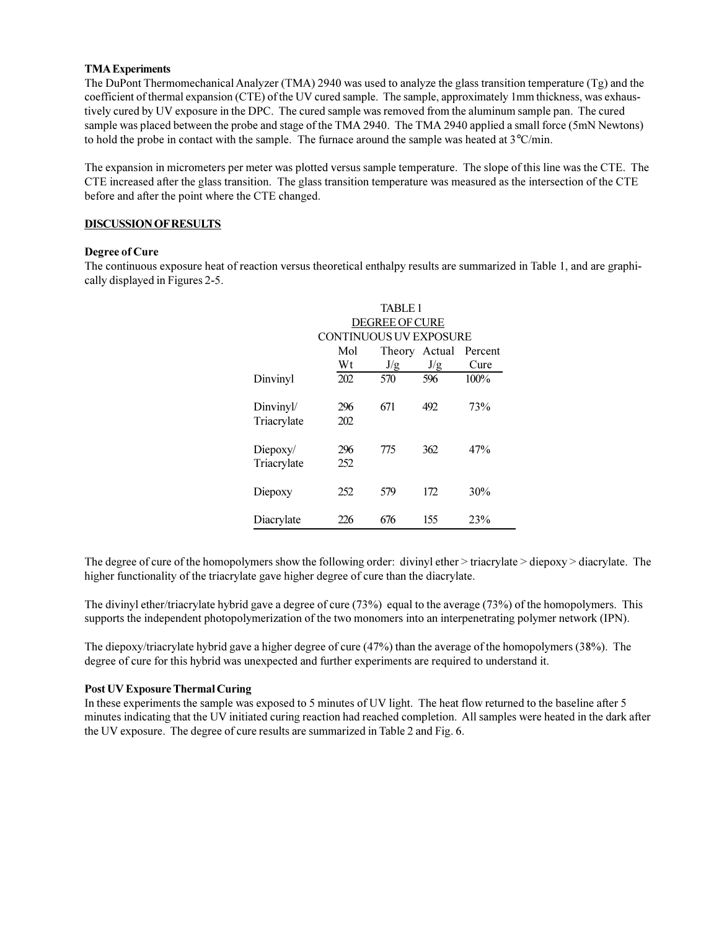#### **TMA Experiments**

The DuPont Thermomechanical Analyzer (TMA) 2940 was used to analyze the glass transition temperature (Tg) and the coefficient of thermal expansion (CTE) of the UV cured sample. The sample, approximately 1mm thickness, was exhaustively cured by UV exposure in the DPC. The cured sample was removed from the aluminum sample pan. The cured sample was placed between the probe and stage of the TMA 2940. The TMA 2940 applied a small force (5mN Newtons) to hold the probe in contact with the sample. The furnace around the sample was heated at  $3^{\circ}$ C/min.

The expansion in micrometers per meter was plotted versus sample temperature. The slope of this line was the CTE. The CTE increased after the glass transition. The glass transition temperature was measured as the intersection of the CTE before and after the point where the CTE changed.

#### **DISCUSSION OF RESULTS**

#### **Degree of Cure**

The continuous exposure heat of reaction versus theoretical enthalpy results are summarized in Table 1, and are graphically displayed in Figures 2-5.

|             | TABLE 1                         |     |     |      |
|-------------|---------------------------------|-----|-----|------|
|             | <b>DEGREE OF CURE</b>           |     |     |      |
|             | CONTINUOUS UV EXPOSURE          |     |     |      |
|             | Mol<br>Theory Actual<br>Percent |     |     |      |
|             | Wt                              | J/g | J/g | Cure |
| Dinvinyl    | 202                             | 570 | 596 | 100% |
| Dinvinyl/   | 296                             | 671 | 492 | 73%  |
| Triacrylate | 202                             |     |     |      |
| Diepoxy/    | 296                             | 775 | 362 | 47%  |
| Triacrylate | 252                             |     |     |      |
| Diepoxy     | 252                             | 579 | 172 | 30%  |
| Diacrylate  | 226                             | 676 | 155 | 23%  |

The degree of cure of the homopolymers show the following order: divinyl ether > triacrylate > diepoxy > diacrylate. The higher functionality of the triacrylate gave higher degree of cure than the diacrylate.

The divinyl ether/triacrylate hybrid gave a degree of cure (73%) equal to the average (73%) of the homopolymers. This supports the independent photopolymerization of the two monomers into an interpenetrating polymer network (IPN).

The diepoxy/triacrylate hybrid gave a higher degree of cure (47%) than the average of the homopolymers (38%). The degree of cure for this hybrid was unexpected and further experiments are required to understand it.

#### **Post UV Exposure Thermal Curing**

In these experiments the sample was exposed to 5 minutes of UV light. The heat flow returned to the baseline after 5 minutes indicating that the UV initiated curing reaction had reached completion. All samples were heated in the dark after the UV exposure. The degree of cure results are summarized in Table 2 and Fig. 6.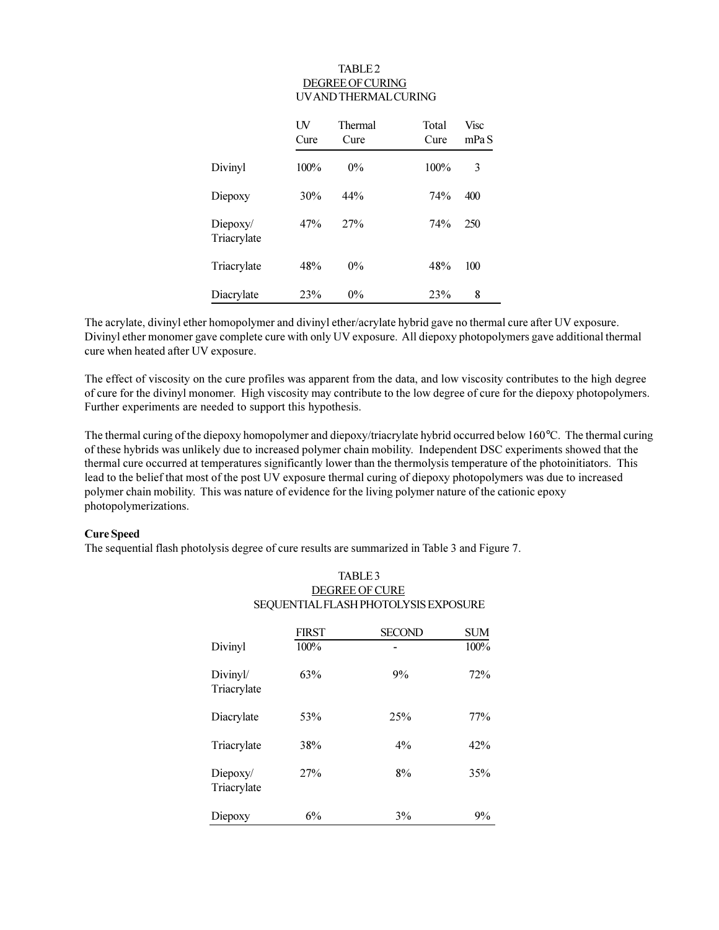#### TABLE 2 DEGREE OF CURING UV AND THERMAL CURING

|                         | UV<br>Cure | Thermal<br>Cure | Total<br>Cure | Visc<br>mPaS |
|-------------------------|------------|-----------------|---------------|--------------|
| Divinyl                 | 100%       | $0\%$           | 100%          | 3            |
| Diepoxy                 | 30%        | 44%             | 74%           | 400          |
| Diepoxy/<br>Triacrylate | 47%        | 27%             | 74%           | 250          |
| Triacrylate             | 48%        | $0\%$           | 48%           | 100          |
| Diacrylate              | 23%        | $0\%$           | 23%           | 8            |

The acrylate, divinyl ether homopolymer and divinyl ether/acrylate hybrid gave no thermal cure after UV exposure. Divinyl ether monomer gave complete cure with only UV exposure. All diepoxy photopolymers gave additional thermal cure when heated after UV exposure.

The effect of viscosity on the cure profiles was apparent from the data, and low viscosity contributes to the high degree of cure for the divinyl monomer. High viscosity may contribute to the low degree of cure for the diepoxy photopolymers. Further experiments are needed to support this hypothesis.

The thermal curing of the diepoxy homopolymer and diepoxy/triacrylate hybrid occurred below 160°C. The thermal curing of these hybrids was unlikely due to increased polymer chain mobility. Independent DSC experiments showed that the thermal cure occurred at temperatures significantly lower than the thermolysis temperature of the photoinitiators. This lead to the belief that most of the post UV exposure thermal curing of diepoxy photopolymers was due to increased polymer chain mobility. This was nature of evidence for the living polymer nature of the cationic epoxy photopolymerizations.

#### **Cure Speed**

The sequential flash photolysis degree of cure results are summarized in Table 3 and Figure 7.

|                         | <b>FIRST</b> | <b>SECOND</b> | <b>SUM</b> |
|-------------------------|--------------|---------------|------------|
| Divinyl                 | 100%         |               | 100%       |
| Divinyl/<br>Triacrylate | 63%          | 9%            | 72%        |
| Diacrylate              | 53%          | 25%           | 77%        |
| Triacrylate             | 38%          | $4\%$         | 42%        |
| Diepoxy/<br>Triacrylate | 27%          | 8%            | 35%        |
| Diepoxy                 | $6\%$        | 3%            | 9%         |

## TABLE 3 DEGREE OF CURE SEQUENTIAL FLASH PHOTOLYSIS EXPOSURE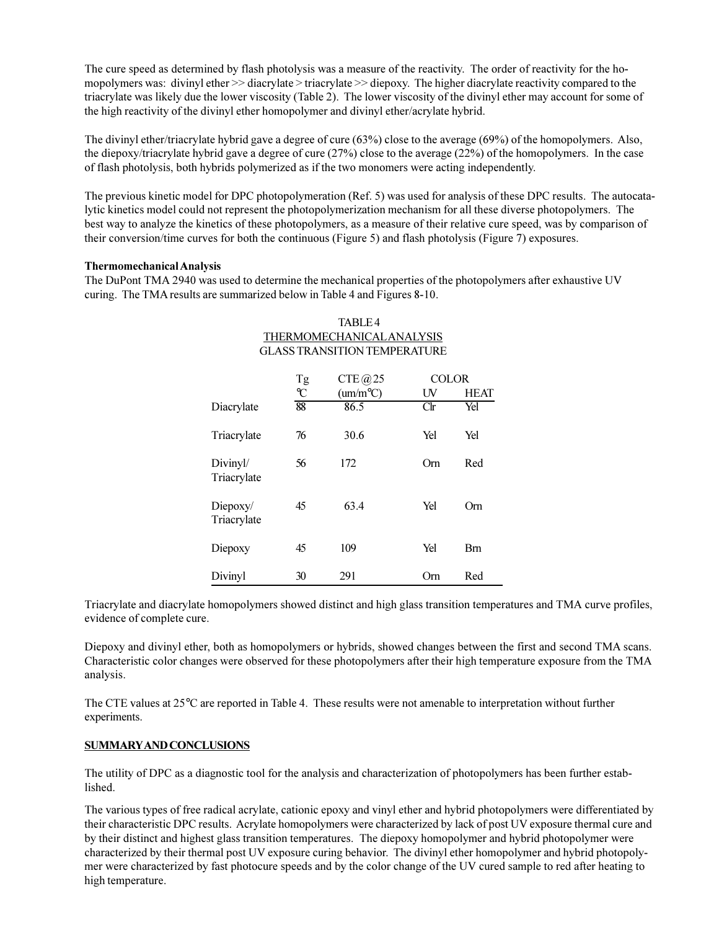The cure speed as determined by flash photolysis was a measure of the reactivity. The order of reactivity for the homopolymers was: divinyl ether >> diacrylate > triacrylate >> diepoxy. The higher diacrylate reactivity compared to the triacrylate was likely due the lower viscosity (Table 2). The lower viscosity of the divinyl ether may account for some of the high reactivity of the divinyl ether homopolymer and divinyl ether/acrylate hybrid.

The divinyl ether/triacrylate hybrid gave a degree of cure (63%) close to the average (69%) of the homopolymers. Also, the diepoxy/triacrylate hybrid gave a degree of cure (27%) close to the average (22%) of the homopolymers. In the case of flash photolysis, both hybrids polymerized as if the two monomers were acting independently.

The previous kinetic model for DPC photopolymeration (Ref. 5) was used for analysis of these DPC results. The autocatalytic kinetics model could not represent the photopolymerization mechanism for all these diverse photopolymers. The best way to analyze the kinetics of these photopolymers, as a measure of their relative cure speed, was by comparison of their conversion/time curves for both the continuous (Figure 5) and flash photolysis (Figure 7) exposures.

## **Thermomechanical Analysis**

The DuPont TMA 2940 was used to determine the mechanical properties of the photopolymers after exhaustive UV curing. The TMA results are summarized below in Table 4 and Figures 8-10.

|                         |               | TABLE4                              |                 |              |  |
|-------------------------|---------------|-------------------------------------|-----------------|--------------|--|
|                         |               | <b>THERMOMECHANICALANALYSIS</b>     |                 |              |  |
|                         |               | <b>GLASS TRANSITION TEMPERATURE</b> |                 |              |  |
|                         |               |                                     |                 |              |  |
|                         | Tg            | CTE @ 25                            |                 | <b>COLOR</b> |  |
|                         | $\mathcal{C}$ | $\text{(um/m}^{\circ}\text{C)}$     | UV              | <b>HEAT</b>  |  |
| Diacrylate              | 88            | 86.5                                | C <sub>lr</sub> | Yel          |  |
| Triacrylate             | 76            | 30.6                                | Yel             | Yel          |  |
| Divinyl/<br>Triacrylate | 56            | 172                                 | Orn             | Red          |  |
| Diepoxy/<br>Triacrylate | 45            | 63.4                                | Yel             | Orn          |  |
| Diepoxy                 | 45            | 109                                 | Yel             | <b>Bm</b>    |  |
| Divinyl                 | 30            | 291                                 | Orn             | Red          |  |

## Triacrylate and diacrylate homopolymers showed distinct and high glass transition temperatures and TMA curve profiles, evidence of complete cure.

Diepoxy and divinyl ether, both as homopolymers or hybrids, showed changes between the first and second TMA scans. Characteristic color changes were observed for these photopolymers after their high temperature exposure from the TMA analysis.

The CTE values at 25°C are reported in Table 4. These results were not amenable to interpretation without further experiments.

## **SUMMARYAND CONCLUSIONS**

The utility of DPC as a diagnostic tool for the analysis and characterization of photopolymers has been further established.

The various types of free radical acrylate, cationic epoxy and vinyl ether and hybrid photopolymers were differentiated by their characteristic DPC results. Acrylate homopolymers were characterized by lack of post UV exposure thermal cure and by their distinct and highest glass transition temperatures. The diepoxy homopolymer and hybrid photopolymer were characterized by their thermal post UV exposure curing behavior. The divinyl ether homopolymer and hybrid photopolymer were characterized by fast photocure speeds and by the color change of the UV cured sample to red after heating to high temperature.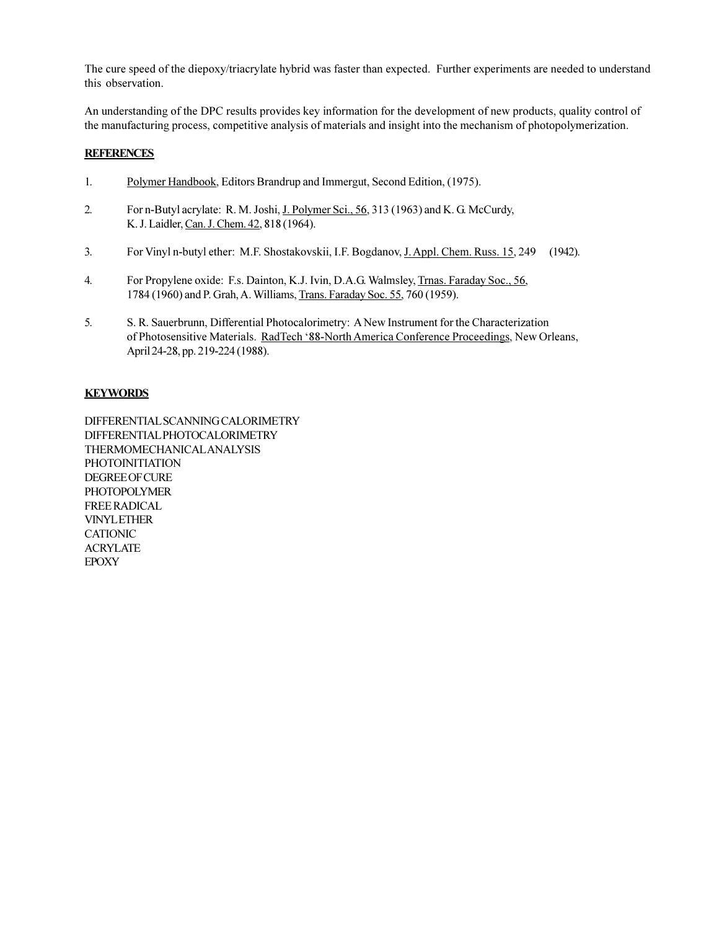The cure speed of the diepoxy/triacrylate hybrid was faster than expected. Further experiments are needed to understand this observation.

An understanding of the DPC results provides key information for the development of new products, quality control of the manufacturing process, competitive analysis of materials and insight into the mechanism of photopolymerization.

## **REFERENCES**

- 1. Polymer Handbook, Editors Brandrup and Immergut, Second Edition, (1975).
- 2. For n-Butyl acrylate: R. M. Joshi, J. Polymer Sci., 56, 313 (1963) and K. G. McCurdy, K. J. Laidler, Can. J. Chem. 42, 818 (1964).
- 3. For Vinyl n-butyl ether: M.F. Shostakovskii, I.F. Bogdanov, J. Appl. Chem. Russ. 15, 249 (1942).
- 4. For Propylene oxide: F.s. Dainton, K.J. Ivin, D.A.G. Walmsley, Trnas. Faraday Soc., 56, 1784 (1960) and P. Grah, A. Williams, Trans. Faraday Soc. 55, 760 (1959).
- 5. S. R. Sauerbrunn, Differential Photocalorimetry: A New Instrument for the Characterization of Photosensitive Materials. RadTech '88-North America Conference Proceedings, New Orleans, April 24-28, pp. 219-224 (1988).

## **KEYWORDS**

DIFFERENTIAL SCANNING CALORIMETRY DIFFERENTIAL PHOTOCALORIMETRY THERMOMECHANICAL ANALYSIS PHOTOINITIATION DEGREE OF CURE PHOTOPOLYMER FREE RADICAL **VINYLETHER** CATIONIC ACRYLATE EPOXY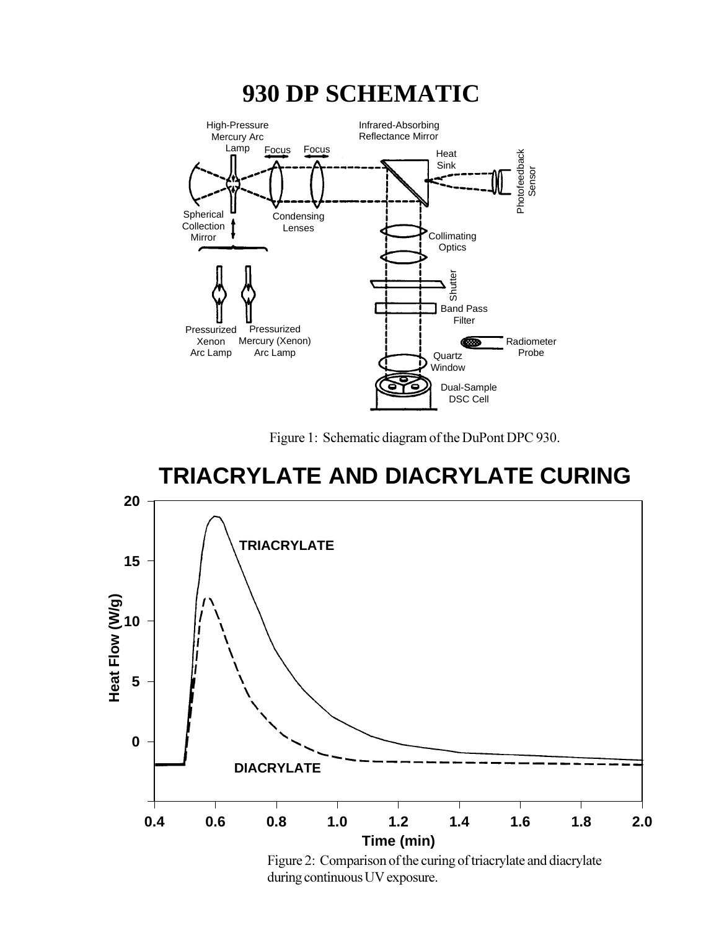

Figure 1: Schematic diagram of the DuPont DPC 930.

# **TRIACRYLATE AND DIACRYLATE CURING**



Figure 2: Comparison of the curing of triacrylate and diacrylate during continuous UV exposure.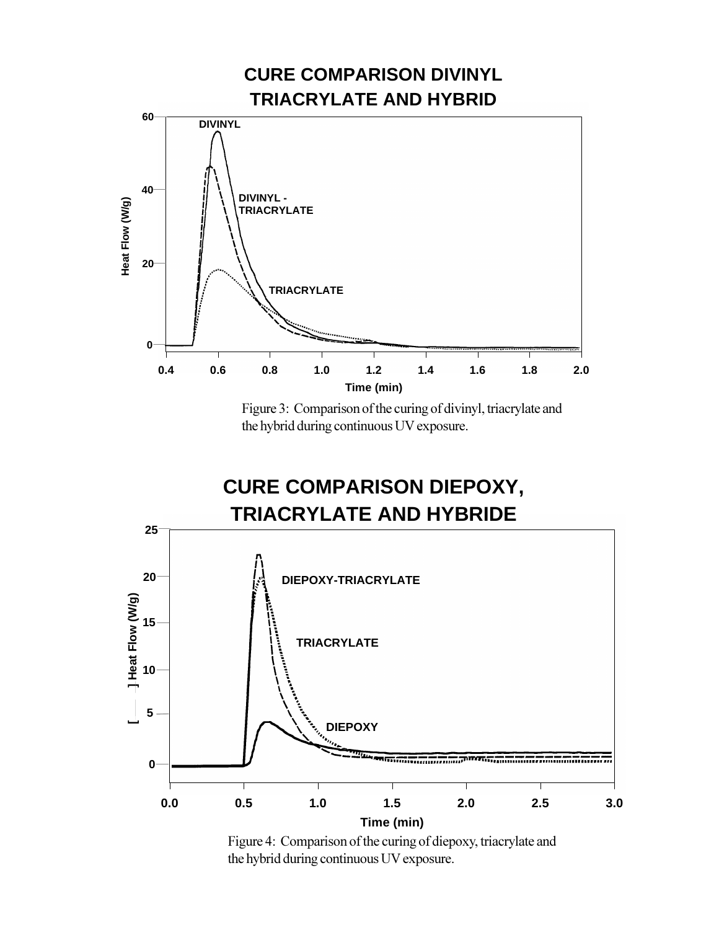

Figure 3: Comparison of the curing of divinyl, triacrylate and the hybrid during continuous UV exposure.



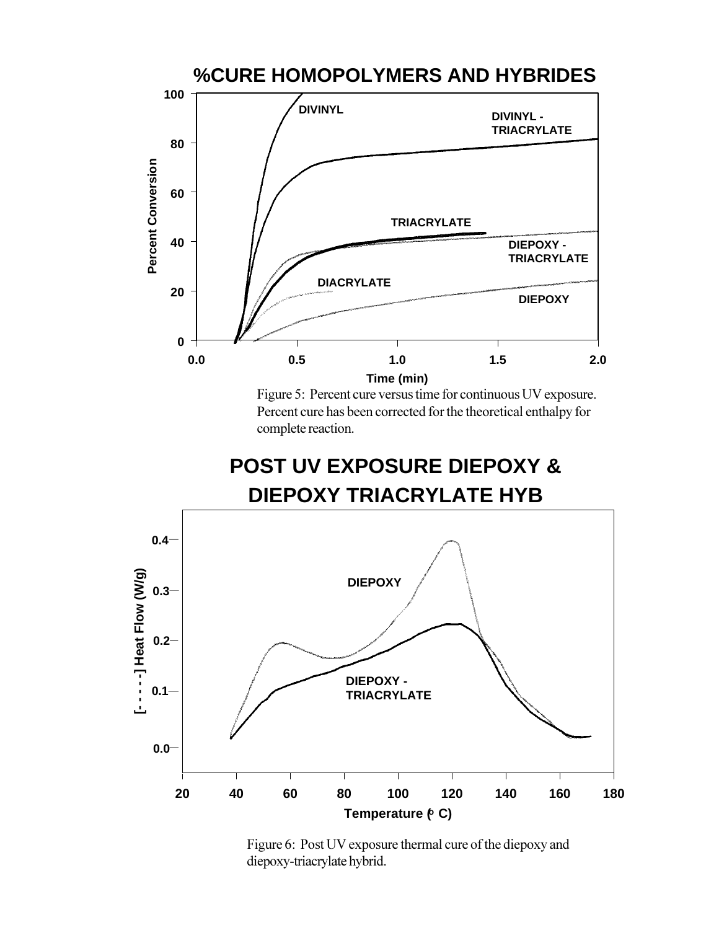

Figure 5: Percent cure versus time for continuous UV exposure. Percent cure has been corrected for the theoretical enthalpy for complete reaction.

## **POST UV EXPOSURE DIEPOXY & DIEPOXY TRIACRYLATE HYB**



Figure 6: Post UV exposure thermal cure of the diepoxy and diepoxy-triacrylate hybrid.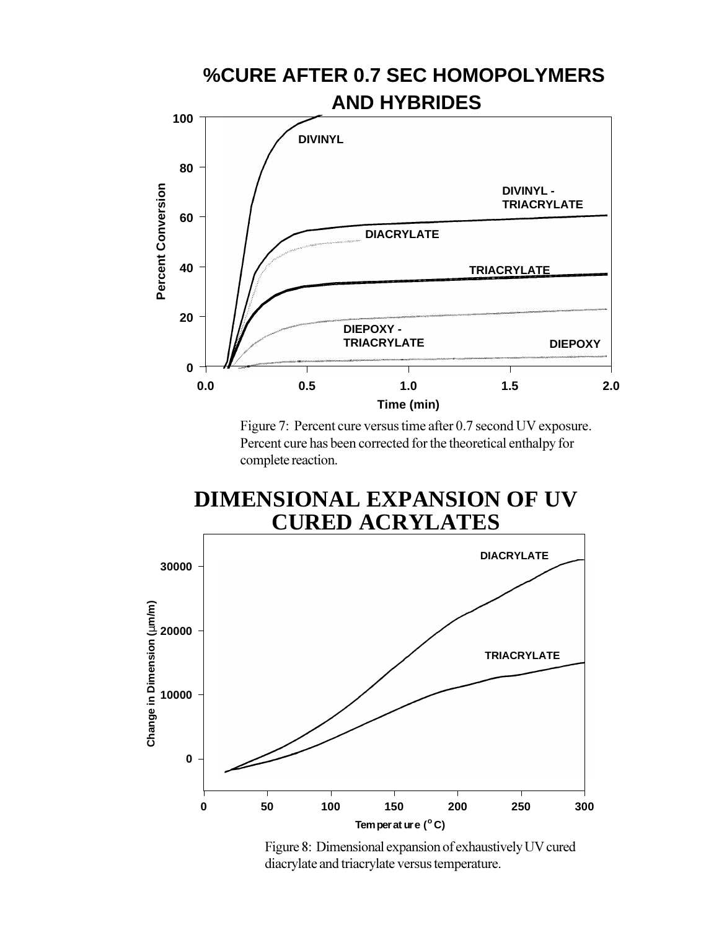

Figure 7: Percent cure versus time after 0.7 second UV exposure. Percent cure has been corrected for the theoretical enthalpy for complete reaction.





Figure 8: Dimensional expansion of exhaustively UV cured diacrylate and triacrylate versus temperature.